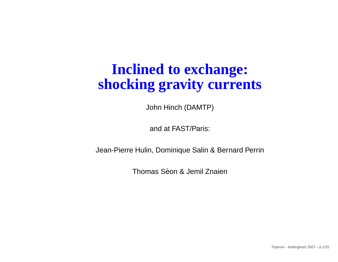#### **Inclined to exchange:shocking gravity currents**

John Hinch (DAMTP)

and at FAST/Paris:

Jean-Pierre Hulin, Dominique Salin & Bernard Perrin

Thomas Séon & Jemil Znaien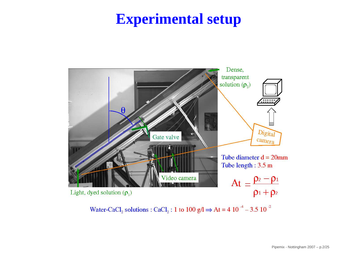## **Experimental setup**



Water-CaCl<sub>2</sub> solutions : CaCl<sub>2</sub> : 1 to 100 g/l  $\Rightarrow$  At = 4 10<sup>-4</sup> - 3.5 10<sup>-2</sup>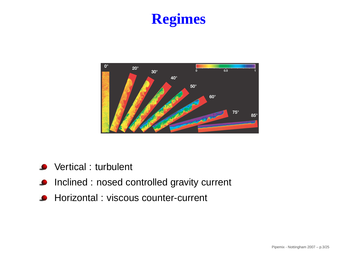# **Regimes**



- **O** Vertical : turbulent
- **Inclined : nosed controlled gravity current**
- **A** Horizontal : viscous counter-current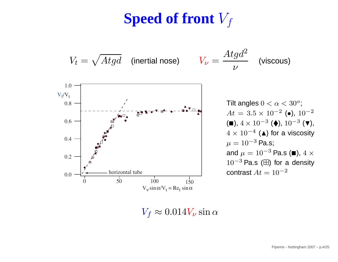# $\mathbf{S}\mathbf{peed}$  of front  $V_f$



 $V_f \approx 0.014 V_\nu \sin\alpha$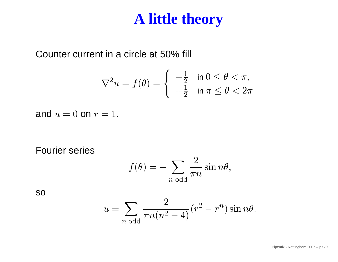#### **A little theory**

Counter current in <sup>a</sup> circle at 50% fill

$$
\nabla^2 u = f(\theta) = \begin{cases} -\frac{1}{2} & \text{in } 0 \le \theta < \pi, \\ +\frac{1}{2} & \text{in } \pi \le \theta < 2\pi \end{cases}
$$

and  $u = 0$  on  $r = 1$ .

Fourier series

$$
f(\theta) = -\sum_{n \text{ odd}} \frac{2}{\pi n} \sin n\theta,
$$

so

$$
u = \sum_{n \text{ odd}} \frac{2}{\pi n (n^2 - 4)} (r^2 - r^n) \sin n\theta.
$$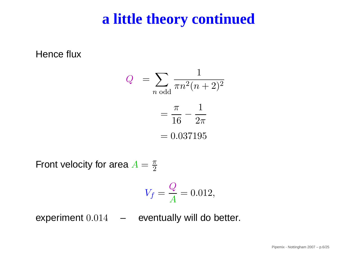### **<sup>a</sup> little theory continued**

Hence flux

$$
Q = \sum_{n \text{ odd}} \frac{1}{\pi n^2 (n+2)^2}
$$

$$
= \frac{\pi}{16} - \frac{1}{2\pi}
$$

$$
= 0.037195
$$

Front velocity for area  $A=\frac{\pi}{2}$ 2

$$
V_f = \frac{Q}{A} = 0.012,
$$

experiment  $0.014\quad$  – eventually will do better.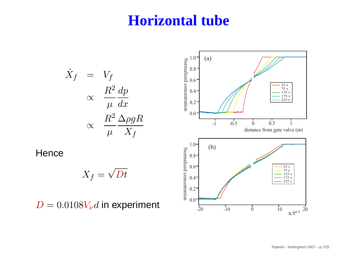#### **Horizontal tube**

$$
\dot{X}_f = V_f
$$
\n
$$
\propto \frac{R^2}{\mu} \frac{dp}{dx}
$$
\n
$$
\propto \frac{R^2}{\mu} \frac{\Delta \rho g R}{X_f}
$$
\nHence\n
$$
X_f = \sqrt{Dt}
$$
\n
$$
D = 0.0108 V_{\nu} d \text{ in experiment}
$$
\n
$$
D = 0.0108 V_{\nu} d \text{ in experiment}
$$
\n
$$
V_{\nu} = \frac{V_{\nu} \Delta \rho g R}{V_{\nu} \Delta \rho g} = \frac{V_{\nu} \Delta \rho g R}{V_{\nu} \Delta \rho g} = \frac{V_{\nu} \Delta \rho g R}{V_{\nu} \Delta \rho g} = \frac{V_{\nu} \Delta \rho g R}{V_{\nu} \Delta \rho g} = \frac{V_{\nu} \Delta \rho g R}{V_{\nu} \Delta \rho g} = \frac{V_{\nu} \Delta \rho g R}{V_{\nu} \Delta \rho g} = \frac{V_{\nu} \Delta \rho g R}{V_{\nu} \Delta \rho g} = \frac{V_{\nu} \Delta \rho g R}{V_{\nu} \Delta \rho g} = \frac{V_{\nu} \Delta \rho g R}{V_{\nu} \Delta \rho g} = \frac{V_{\nu} \Delta \rho g R}{V_{\nu} \Delta \rho g} = \frac{V_{\nu} \Delta \rho g R}{V_{\nu} \Delta \rho g} = \frac{V_{\nu} \Delta \rho g R}{V_{\nu} \Delta \rho g} = \frac{V_{\nu} \Delta \rho g R}{V_{\nu} \Delta \rho g} = \frac{V_{\nu} \Delta \rho g R}{V_{\nu} \Delta \rho g} = \frac{V_{\nu} \Delta \rho g R}{V_{\nu} \Delta \rho g} = \frac{V_{\nu} \Delta \rho g R}{V_{\nu} \Delta \rho g} = \frac{V_{\nu} \Delta \rho g R}{V_{\nu} \Delta \rho g} = \frac{V_{\nu} \Delta \rho g R}{V_{\nu} \Delta \rho g} = \frac{V_{\nu} \Delta \rho g R}{V_{\nu} \Delta \rho g} = \frac{V_{\nu} \Delta \rho g R}{V_{\nu} \Delta \rho g} = \frac{V_{\nu} \Delta \rho g R}{V_{\nu} \Delta \rho g} = \frac{V_{\nu} \Delta \rho g R}{V_{\nu} \Delta \rho g} =
$$

**Hence**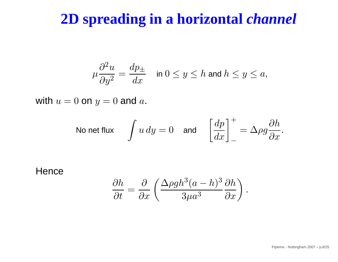### **2D spreading in <sup>a</sup> horizontal** *channel*

$$
\mu \frac{\partial^2 u}{\partial y^2} = \frac{dp_\pm}{dx} \quad \text{ in } 0 \le y \le h \text{ and } h \le y \le a,
$$

with  $u = 0$  on  $y = 0$  and  $a$ .

No net flux 
$$
\int u \, dy = 0
$$
 and  $\left[\frac{dp}{dx}\right]_+^+ = \Delta \rho g \frac{\partial h}{\partial x}$ .

#### **Hence**

$$
\frac{\partial h}{\partial t} = \frac{\partial}{\partial x} \left( \frac{\Delta \rho g h^3 (a - h)^3}{3\mu a^3} \frac{\partial h}{\partial x} \right).
$$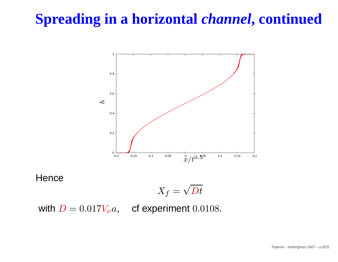# **Spreading in <sup>a</sup> horizontal** *channel***, continued**



**Hence** 

$$
X_f=\sqrt{Dt}
$$

with  $D = 0.017 V_{\nu} a$ , cf experiment  $0.0108$ .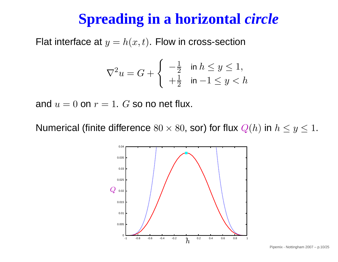# **Spreading in <sup>a</sup> horizontal** *circle*

Flat interface at  $y=h(x,t).$  Flow in cross-section

$$
\nabla^2 u = G + \begin{cases} -\frac{1}{2} & \text{in } h \le y \le 1, \\ +\frac{1}{2} & \text{in } -1 \le y < h \end{cases}
$$

and  $u = 0$  on  $r = 1$ .  $G$  so no net flux.

Numerical (finite difference  $80\times80,$  sor) for flux  $Q(h)$  in  $h\leq y\leq1.$ 

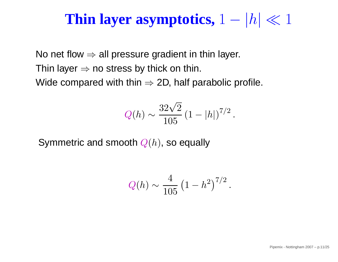# **Thin layer asymptotics,**  $1 - |h| \ll 1$

No net flow  $\Rightarrow$  all pressure gradient in thin layer.<br>Thin layer was atrees by thisk an thin Thin layer  $⇒$  no stress by thick on thin.<br>Wide essenced with this  $∴ 2D$  half no Wide compared with thin  $\Rightarrow$  2D, half parabolic profile.

$$
Q(h) \sim \frac{32\sqrt{2}}{105} (1 - |h|)^{7/2}
$$

.

Symmetric and smooth  $Q(h)$ , so equally

$$
Q(h) \sim \frac{4}{105} \left(1 - h^2\right)^{7/2}.
$$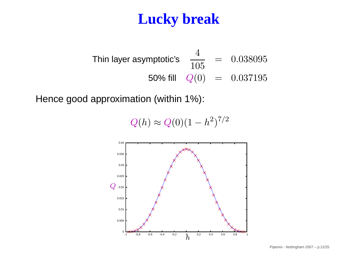### **Lucky break**

Think 20.038095

\nThink 50% fill 
$$
Q(0) = 0.037195
$$

Hence good approximation (within 1%):

 $Q(h) \thickapprox$  $\approx Q(0)(1-h^2)^{7/2}$ 

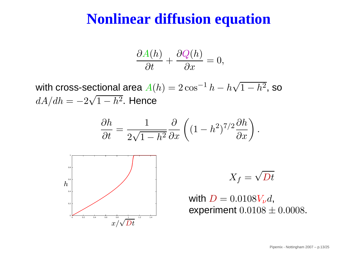#### **Nonlinear diffusion equation**

$$
\frac{\partial A(h)}{\partial t} + \frac{\partial Q(h)}{\partial x} = 0,
$$

with cross-sectional area  $A(h) = 2\cos^{-1}$  $dA/dh = -2\sqrt{1-h^2}.$  Hen  $^{1}\,h-h\sqrt{1-h^{2}}$ , so  $=-2\sqrt{1-h^2}.$  Hence

$$
\frac{\partial h}{\partial t} = \frac{1}{2\sqrt{1 - h^2}} \frac{\partial}{\partial x} \left( (1 - h^2)^{7/2} \frac{\partial h}{\partial x} \right)
$$



with  $D = 0.0108 V_{\nu} d$ , experiment  $0.0108\pm0.0008.$ 

 $X_f=\sqrt{Dt}$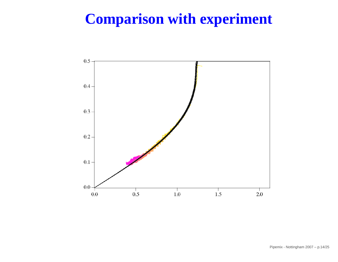### **Comparison with experiment**

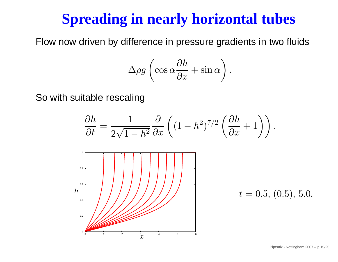### **Spreading in nearly horizontal tubes**

Flow now driven by difference in pressure gradients in two fluids

$$
\Delta \rho g \left( \cos \alpha \frac{\partial h}{\partial x} + \sin \alpha \right).
$$

So with suitable rescaling

$$
\frac{\partial h}{\partial t} = \frac{1}{2\sqrt{1-h^2}} \frac{\partial}{\partial x} \left( (1-h^2)^{7/2} \left( \frac{\partial h}{\partial x} + 1 \right) \right).
$$



 $t = 0.5, (0.5), 5.0.$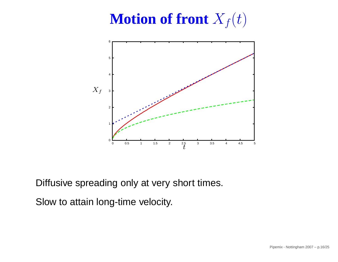# $\mathbf{M}$ otion of front  $X_f(t)$



Diffusive spreading only at very short times.

Slow to attain long-time velocity.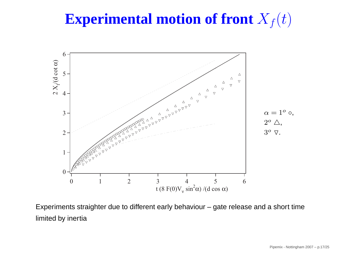#### ${\bf Experimental}\ \textbf{not} \ \textbf{of}\ \textbf{front} \ X$  $_f(t)$



Experiments straighter due to different early behaviour – gate release and <sup>a</sup> short timelimited by inertia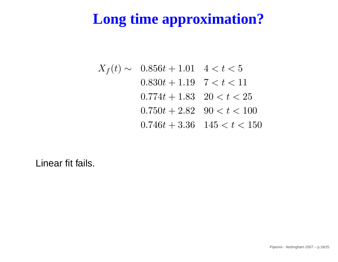# **Long time approximation?**

 $X_f(t)$  $\sim$  0.856 $t + 1.01$  4 <  $t < 5$  $0.830t + 1.19$   $7 < t < 11$  $0.774t + 1.83 \quad 20 < t < 25$  $0.750t + 2.82 \quad 90 < t < 100$  $0.746t + 3.36$   $145 < t < 150$ 

Linear fit fails.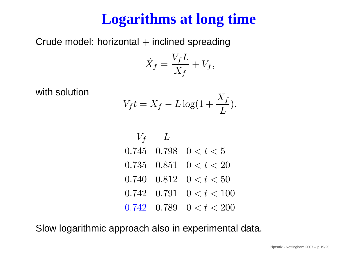# **Logarithms at long time**

 $\mathsf{Crude}$  model: horizontal  $+$  inclined spreading

$$
\dot{X}_f = \frac{V_f L}{X_f} + V_f,
$$

with solution

$$
V_f t = X_f - L \log(1 + \frac{X_f}{L}).
$$

| $V_f$ | $L$   |               |
|-------|-------|---------------|
| 0.745 | 0.798 | $0 < t < 5$   |
| 0.735 | 0.851 | $0 < t < 20$  |
| 0.740 | 0.812 | $0 < t < 50$  |
| 0.742 | 0.791 | $0 < t < 100$ |
| 0.742 | 0.789 | $0 < t < 200$ |

Slow logarithmic approach also in experimental data.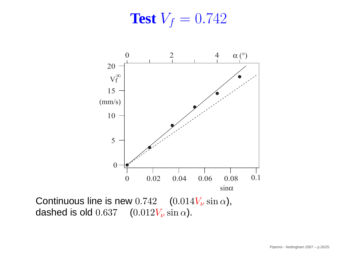**Test**  $V_f = 0.742$ 



Continuous line is new  $0.742\quad(0.014V_\nu\sin\alpha)$ , dashed is old  $0.637$   $(0.012V_\nu \sin \alpha)$ .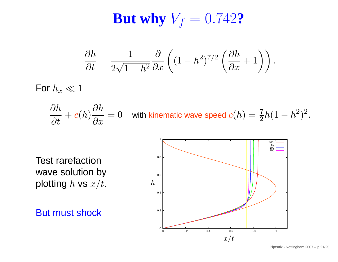# $\mathbf{But~why~}V_f = 0.742$ ?

$$
\frac{\partial h}{\partial t} = \frac{1}{2\sqrt{1-h^2}} \frac{\partial}{\partial x} \left( (1-h^2)^{7/2} \left( \frac{\partial h}{\partial x} + 1 \right) \right).
$$

For  $h_x \ll 1$ 

$$
\frac{\partial h}{\partial t} + c(h)\frac{\partial h}{\partial x} = 0 \quad \text{ with kinematic wave speed } c(h) = \frac{7}{2}h(1-h^2)^2.
$$

Test rarefaction wave solution byplotting  $h$  vs  $x/t$ .

But must shock

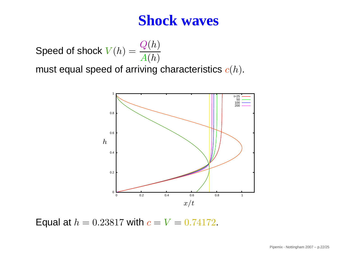#### **Shock waves**

Speed of shock  $V(h) = \dfrac{Q(h)}{A(h)}$ 

must equal speed of arriving characteristics  $c(h).$ 



Equal at  $h = 0.23817$  with  $c = V = 0.74172$ .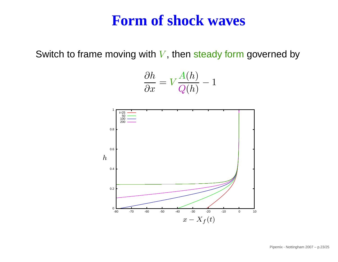#### **Form of shock waves**

Switch to frame moving with  $V,$  then steady form governed by

$$
\frac{\partial h}{\partial x} = V \frac{A(h)}{Q(h)} - 1
$$

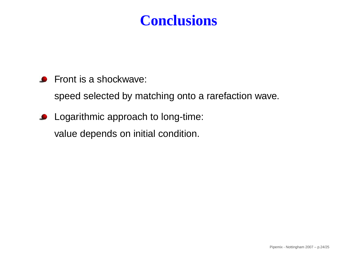#### **Conclusions**

**•** Front is a shockwave:

speed selected by matching onto <sup>a</sup> rarefaction wave.

**C** Logarithmic approach to long-time: value depends on initial condition.